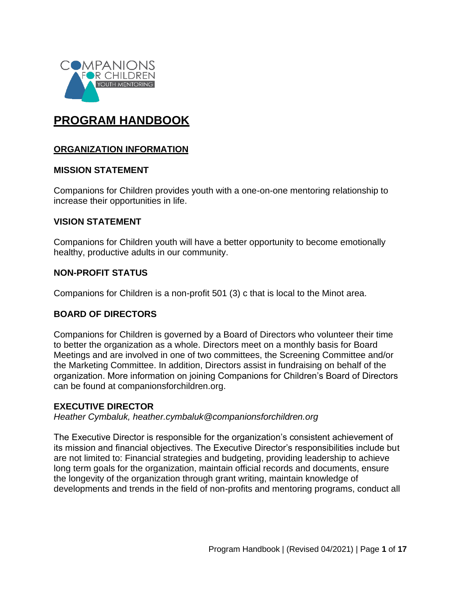

# **PROGRAM HANDBOOK**

#### **ORGANIZATION INFORMATION**

#### **MISSION STATEMENT**

Companions for Children provides youth with a one-on-one mentoring relationship to increase their opportunities in life.

#### **VISION STATEMENT**

Companions for Children youth will have a better opportunity to become emotionally healthy, productive adults in our community.

#### **NON-PROFIT STATUS**

Companions for Children is a non-profit 501 (3) c that is local to the Minot area.

#### **BOARD OF DIRECTORS**

Companions for Children is governed by a Board of Directors who volunteer their time to better the organization as a whole. Directors meet on a monthly basis for Board Meetings and are involved in one of two committees, the Screening Committee and/or the Marketing Committee. In addition, Directors assist in fundraising on behalf of the organization. More information on joining Companions for Children's Board of Directors can be found at companionsforchildren.org.

#### **EXECUTIVE DIRECTOR**

*Heather Cymbaluk, [heather.cymbaluk@companionsforchildren.org](mailto:heather.cymbaluk@companionsforchildren.org)*

The Executive Director is responsible for the organization's consistent achievement of its mission and financial objectives. The Executive Director's responsibilities include but are not limited to: Financial strategies and budgeting, providing leadership to achieve long term goals for the organization, maintain official records and documents, ensure the longevity of the organization through grant writing, maintain knowledge of developments and trends in the field of non-profits and mentoring programs, conduct all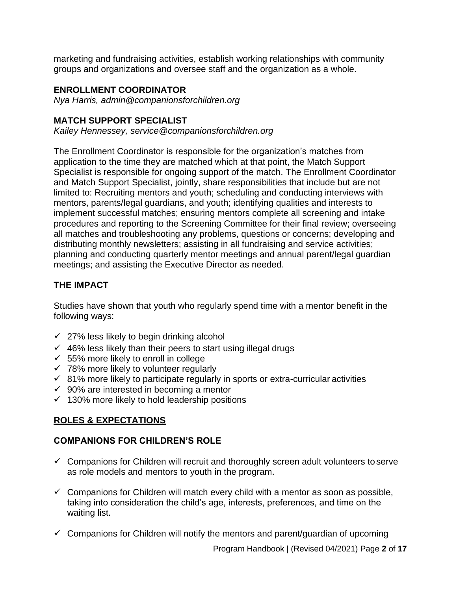marketing and fundraising activities, establish working relationships with community groups and organizations and oversee staff and the organization as a whole.

#### **ENROLLMENT COORDINATOR**

*Nya Harris, admin@companionsforchildren.org*

### **MATCH SUPPORT SPECIALIST**

*Kailey Hennessey, [service@companionsforchildren.org](mailto:service@companionsforchildren.org)*

The Enrollment Coordinator is responsible for the organization's matches from application to the time they are matched which at that point, the Match Support Specialist is responsible for ongoing support of the match. The Enrollment Coordinator and Match Support Specialist, jointly, share responsibilities that include but are not limited to: Recruiting mentors and youth; scheduling and conducting interviews with mentors, parents/legal guardians, and youth; identifying qualities and interests to implement successful matches; ensuring mentors complete all screening and intake procedures and reporting to the Screening Committee for their final review; overseeing all matches and troubleshooting any problems, questions or concerns; developing and distributing monthly newsletters; assisting in all fundraising and service activities; planning and conducting quarterly mentor meetings and annual parent/legal guardian meetings; and assisting the Executive Director as needed.

# **THE IMPACT**

Studies have shown that youth who regularly spend time with a mentor benefit in the following ways:

- $\checkmark$  27% less likely to begin drinking alcohol
- $\checkmark$  46% less likely than their peers to start using illegal drugs
- $\times$  55% more likely to enroll in college
- $\checkmark$  78% more likely to volunteer regularly
- $\checkmark$  81% more likely to participate regularly in sports or extra-curricular activities
- $\checkmark$  90% are interested in becoming a mentor
- $\checkmark$  130% more likely to hold leadership positions

# **ROLES & EXPECTATIONS**

#### **COMPANIONS FOR CHILDREN'S ROLE**

- $\checkmark$  Companions for Children will recruit and thoroughly screen adult volunteers to serve as role models and mentors to youth in the program.
- $\checkmark$  Companions for Children will match every child with a mentor as soon as possible, taking into consideration the child's age, interests, preferences, and time on the waiting list.
- $\checkmark$  Companions for Children will notify the mentors and parent/quardian of upcoming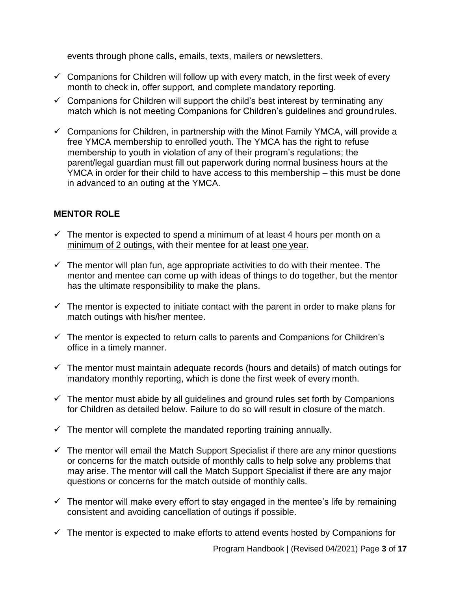events through phone calls, emails, texts, mailers or newsletters.

- $\checkmark$  Companions for Children will follow up with every match, in the first week of every month to check in, offer support, and complete mandatory reporting.
- $\checkmark$  Companions for Children will support the child's best interest by terminating any match which is not meeting Companions for Children's guidelines and ground rules.
- $\checkmark$  Companions for Children, in partnership with the Minot Family YMCA, will provide a free YMCA membership to enrolled youth. The YMCA has the right to refuse membership to youth in violation of any of their program's regulations; the parent/legal guardian must fill out paperwork during normal business hours at the YMCA in order for their child to have access to this membership – this must be done in advanced to an outing at the YMCA.

# **MENTOR ROLE**

- $\checkmark$  The mentor is expected to spend a minimum of at least 4 hours per month on a minimum of 2 outings, with their mentee for at least one year.
- $\checkmark$  The mentor will plan fun, age appropriate activities to do with their mentee. The mentor and mentee can come up with ideas of things to do together, but the mentor has the ultimate responsibility to make the plans.
- $\checkmark$  The mentor is expected to initiate contact with the parent in order to make plans for match outings with his/her mentee.
- $\checkmark$  The mentor is expected to return calls to parents and Companions for Children's office in a timely manner.
- $\checkmark$  The mentor must maintain adequate records (hours and details) of match outings for mandatory monthly reporting, which is done the first week of every month.
- $\checkmark$  The mentor must abide by all guidelines and ground rules set forth by Companions for Children as detailed below. Failure to do so will result in closure of the match.
- $\checkmark$  The mentor will complete the mandated reporting training annually.
- $\checkmark$  The mentor will email the Match Support Specialist if there are any minor questions or concerns for the match outside of monthly calls to help solve any problems that may arise. The mentor will call the Match Support Specialist if there are any major questions or concerns for the match outside of monthly calls.
- $\checkmark$  The mentor will make every effort to stay engaged in the mentee's life by remaining consistent and avoiding cancellation of outings if possible.
- $\checkmark$  The mentor is expected to make efforts to attend events hosted by Companions for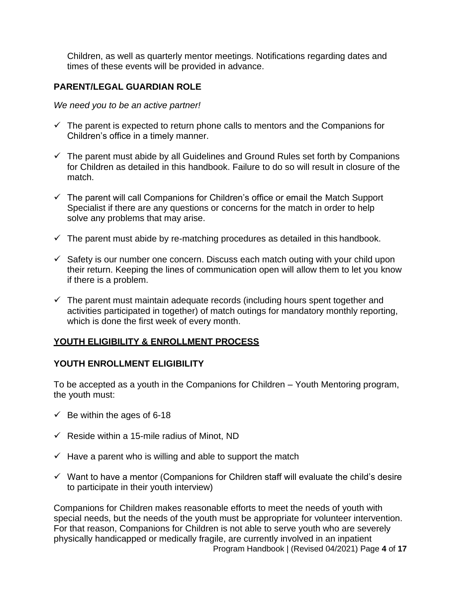Children, as well as quarterly mentor meetings. Notifications regarding dates and times of these events will be provided in advance.

### **PARENT/LEGAL GUARDIAN ROLE**

*We need you to be an active partner!*

- $\checkmark$  The parent is expected to return phone calls to mentors and the Companions for Children's office in a timely manner.
- $\checkmark$  The parent must abide by all Guidelines and Ground Rules set forth by Companions for Children as detailed in this handbook. Failure to do so will result in closure of the match.
- $\checkmark$  The parent will call Companions for Children's office or email the Match Support Specialist if there are any questions or concerns for the match in order to help solve any problems that may arise.
- $\checkmark$  The parent must abide by re-matching procedures as detailed in this handbook.
- $\checkmark$  Safety is our number one concern. Discuss each match outing with your child upon their return. Keeping the lines of communication open will allow them to let you know if there is a problem.
- $\checkmark$  The parent must maintain adequate records (including hours spent together and activities participated in together) of match outings for mandatory monthly reporting, which is done the first week of every month.

#### **YOUTH ELIGIBILITY & ENROLLMENT PROCESS**

#### **YOUTH ENROLLMENT ELIGIBILITY**

To be accepted as a youth in the Companions for Children – Youth Mentoring program, the youth must:

- $\checkmark$  Be within the ages of 6-18
- $\checkmark$  Reside within a 15-mile radius of Minot, ND
- $\checkmark$  Have a parent who is willing and able to support the match
- $\checkmark$  Want to have a mentor (Companions for Children staff will evaluate the child's desire to participate in their youth interview)

Program Handbook | (Revised 04/2021) Page **4** of **17** Companions for Children makes reasonable efforts to meet the needs of youth with special needs, but the needs of the youth must be appropriate for volunteer intervention. For that reason, Companions for Children is not able to serve youth who are severely physically handicapped or medically fragile, are currently involved in an inpatient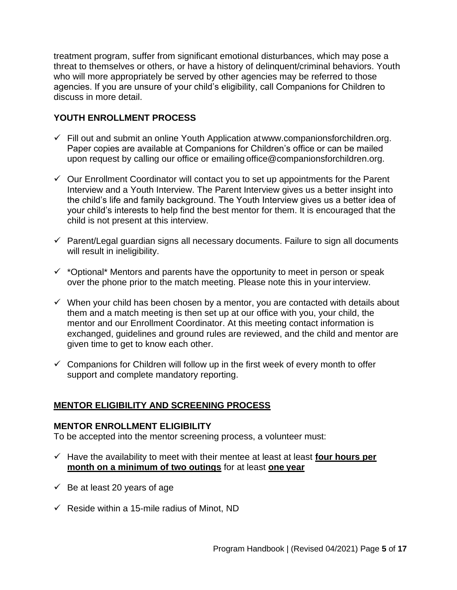treatment program, suffer from significant emotional disturbances, which may pose a threat to themselves or others, or have a history of delinquent/criminal behaviors. Youth who will more appropriately be served by other agencies may be referred to those agencies. If you are unsure of your child's eligibility, call Companions for Children to discuss in more detail.

# **YOUTH ENROLLMENT PROCESS**

- $\checkmark$  Fill out and submit an online Youth Application at www.companionsforchildren.org. Paper copies are available at Companions for Children's office or can be mailed upon request by calling our office or emailing [office@companionsforchildren.org.](mailto:office@companionsforchildren.org)
- $\checkmark$  Our Enrollment Coordinator will contact you to set up appointments for the Parent Interview and a Youth Interview. The Parent Interview gives us a better insight into the child's life and family background. The Youth Interview gives us a better idea of your child's interests to help find the best mentor for them. It is encouraged that the child is not present at this interview.
- $\checkmark$  Parent/Legal guardian signs all necessary documents. Failure to sign all documents will result in ineligibility.
- $\checkmark$  \*Optional\* Mentors and parents have the opportunity to meet in person or speak over the phone prior to the match meeting. Please note this in your interview.
- $\checkmark$  When your child has been chosen by a mentor, you are contacted with details about them and a match meeting is then set up at our office with you, your child, the mentor and our Enrollment Coordinator. At this meeting contact information is exchanged, guidelines and ground rules are reviewed, and the child and mentor are given time to get to know each other.
- $\checkmark$  Companions for Children will follow up in the first week of every month to offer support and complete mandatory reporting.

# **MENTOR ELIGIBILITY AND SCREENING PROCESS**

#### **MENTOR ENROLLMENT ELIGIBILITY**

To be accepted into the mentor screening process, a volunteer must:

- ✓ Have the availability to meet with their mentee at least at least **four hours per month on a minimum of two outings** for at least **one year**
- $\checkmark$  Be at least 20 years of age
- $\checkmark$  Reside within a 15-mile radius of Minot, ND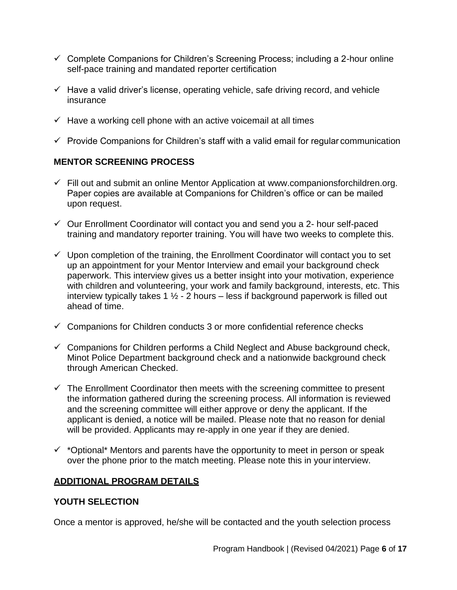- $\checkmark$  Complete Companions for Children's Screening Process; including a 2-hour online self-pace training and mandated reporter certification
- $\checkmark$  Have a valid driver's license, operating vehicle, safe driving record, and vehicle insurance
- $\checkmark$  Have a working cell phone with an active voicemail at all times
- $\checkmark$  Provide Companions for Children's staff with a valid email for regular communication

# **MENTOR SCREENING PROCESS**

- $\checkmark$  Fill out and submit an online Mentor Application at [www.companionsforchildren.org.](http://www.companionsforchildren.org/) Paper copies are available at Companions for Children's office or can be mailed upon request.
- ✓ Our Enrollment Coordinator will contact you and send you a 2- hour self-paced training and mandatory reporter training. You will have two weeks to complete this.
- $\checkmark$  Upon completion of the training, the Enrollment Coordinator will contact you to set up an appointment for your Mentor Interview and email your background check paperwork. This interview gives us a better insight into your motivation, experience with children and volunteering, your work and family background, interests, etc. This interview typically takes 1  $\frac{1}{2}$  - 2 hours – less if background paperwork is filled out ahead of time.
- $\checkmark$  Companions for Children conducts 3 or more confidential reference checks
- $\checkmark$  Companions for Children performs a Child Neglect and Abuse background check, Minot Police Department background check and a nationwide background check through American Checked.
- $\checkmark$  The Enrollment Coordinator then meets with the screening committee to present the information gathered during the screening process. All information is reviewed and the screening committee will either approve or deny the applicant. If the applicant is denied, a notice will be mailed. Please note that no reason for denial will be provided. Applicants may re-apply in one year if they are denied.
- $\checkmark$  \*Optional\* Mentors and parents have the opportunity to meet in person or speak over the phone prior to the match meeting. Please note this in your interview.

# **ADDITIONAL PROGRAM DETAILS**

# **YOUTH SELECTION**

Once a mentor is approved, he/she will be contacted and the youth selection process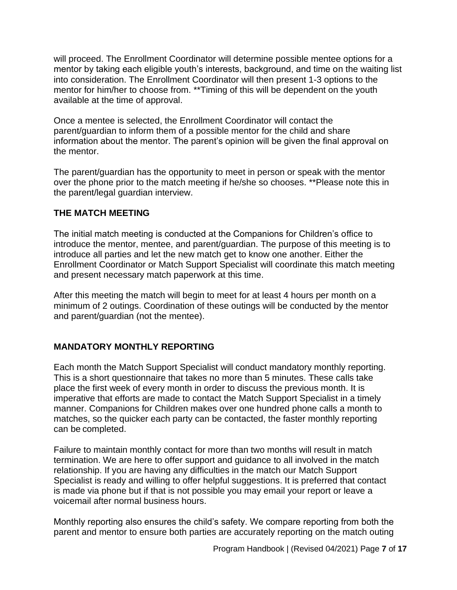will proceed. The Enrollment Coordinator will determine possible mentee options for a mentor by taking each eligible youth's interests, background, and time on the waiting list into consideration. The Enrollment Coordinator will then present 1-3 options to the mentor for him/her to choose from. \*\*Timing of this will be dependent on the youth available at the time of approval.

Once a mentee is selected, the Enrollment Coordinator will contact the parent/guardian to inform them of a possible mentor for the child and share information about the mentor. The parent's opinion will be given the final approval on the mentor.

The parent/guardian has the opportunity to meet in person or speak with the mentor over the phone prior to the match meeting if he/she so chooses. \*\*Please note this in the parent/legal guardian interview.

# **THE MATCH MEETING**

The initial match meeting is conducted at the Companions for Children's office to introduce the mentor, mentee, and parent/guardian. The purpose of this meeting is to introduce all parties and let the new match get to know one another. Either the Enrollment Coordinator or Match Support Specialist will coordinate this match meeting and present necessary match paperwork at this time.

After this meeting the match will begin to meet for at least 4 hours per month on a minimum of 2 outings. Coordination of these outings will be conducted by the mentor and parent/guardian (not the mentee).

# **MANDATORY MONTHLY REPORTING**

Each month the Match Support Specialist will conduct mandatory monthly reporting. This is a short questionnaire that takes no more than 5 minutes. These calls take place the first week of every month in order to discuss the previous month. It is imperative that efforts are made to contact the Match Support Specialist in a timely manner. Companions for Children makes over one hundred phone calls a month to matches, so the quicker each party can be contacted, the faster monthly reporting can be completed.

Failure to maintain monthly contact for more than two months will result in match termination. We are here to offer support and guidance to all involved in the match relationship. If you are having any difficulties in the match our Match Support Specialist is ready and willing to offer helpful suggestions. It is preferred that contact is made via phone but if that is not possible you may email your report or leave a voicemail after normal business hours.

Monthly reporting also ensures the child's safety. We compare reporting from both the parent and mentor to ensure both parties are accurately reporting on the match outing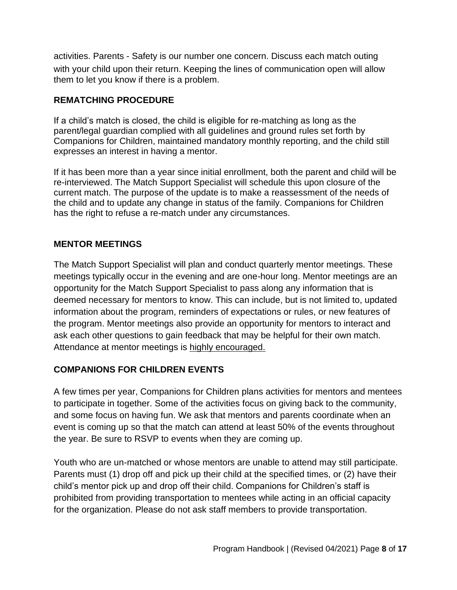activities. Parents - Safety is our number one concern. Discuss each match outing with your child upon their return. Keeping the lines of communication open will allow them to let you know if there is a problem.

# **REMATCHING PROCEDURE**

If a child's match is closed, the child is eligible for re-matching as long as the parent/legal guardian complied with all guidelines and ground rules set forth by Companions for Children, maintained mandatory monthly reporting, and the child still expresses an interest in having a mentor.

If it has been more than a year since initial enrollment, both the parent and child will be re-interviewed. The Match Support Specialist will schedule this upon closure of the current match. The purpose of the update is to make a reassessment of the needs of the child and to update any change in status of the family. Companions for Children has the right to refuse a re-match under any circumstances.

# **MENTOR MEETINGS**

The Match Support Specialist will plan and conduct quarterly mentor meetings. These meetings typically occur in the evening and are one-hour long. Mentor meetings are an opportunity for the Match Support Specialist to pass along any information that is deemed necessary for mentors to know. This can include, but is not limited to, updated information about the program, reminders of expectations or rules, or new features of the program. Mentor meetings also provide an opportunity for mentors to interact and ask each other questions to gain feedback that may be helpful for their own match. Attendance at mentor meetings is highly encouraged.

# **COMPANIONS FOR CHILDREN EVENTS**

A few times per year, Companions for Children plans activities for mentors and mentees to participate in together. Some of the activities focus on giving back to the community, and some focus on having fun. We ask that mentors and parents coordinate when an event is coming up so that the match can attend at least 50% of the events throughout the year. Be sure to RSVP to events when they are coming up.

Youth who are un-matched or whose mentors are unable to attend may still participate. Parents must (1) drop off and pick up their child at the specified times, or (2) have their child's mentor pick up and drop off their child. Companions for Children's staff is prohibited from providing transportation to mentees while acting in an official capacity for the organization. Please do not ask staff members to provide transportation.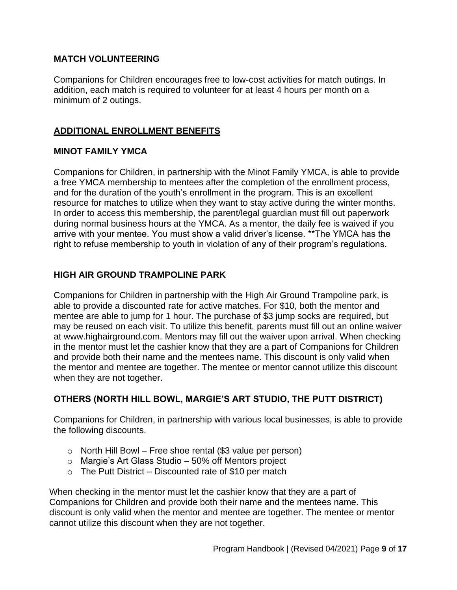#### **MATCH VOLUNTEERING**

Companions for Children encourages free to low-cost activities for match outings. In addition, each match is required to volunteer for at least 4 hours per month on a minimum of 2 outings.

# **ADDITIONAL ENROLLMENT BENEFITS**

#### **MINOT FAMILY YMCA**

Companions for Children, in partnership with the Minot Family YMCA, is able to provide a free YMCA membership to mentees after the completion of the enrollment process, and for the duration of the youth's enrollment in the program. This is an excellent resource for matches to utilize when they want to stay active during the winter months. In order to access this membership, the parent/legal guardian must fill out paperwork during normal business hours at the YMCA. As a mentor, the daily fee is waived if you arrive with your mentee. You must show a valid driver's license. \*\*The YMCA has the right to refuse membership to youth in violation of any of their program's regulations.

#### **HIGH AIR GROUND TRAMPOLINE PARK**

Companions for Children in partnership with the High Air Ground Trampoline park, is able to provide a discounted rate for active matches. For \$10, both the mentor and mentee are able to jump for 1 hour. The purchase of \$3 jump socks are required, but may be reused on each visit. To utilize this benefit, parents must fill out an online waiver at [www.highairground.com. M](http://www.highairground.com/)entors may fill out the waiver upon arrival. When checking in the mentor must let the cashier know that they are a part of Companions for Children and provide both their name and the mentees name. This discount is only valid when the mentor and mentee are together. The mentee or mentor cannot utilize this discount when they are not together.

# **OTHERS (NORTH HILL BOWL, MARGIE'S ART STUDIO, THE PUTT DISTRICT)**

Companions for Children, in partnership with various local businesses, is able to provide the following discounts.

- $\circ$  North Hill Bowl Free shoe rental (\$3 value per person)
- o Margie's Art Glass Studio 50% off Mentors project
- $\circ$  The Putt District Discounted rate of \$10 per match

When checking in the mentor must let the cashier know that they are a part of Companions for Children and provide both their name and the mentees name. This discount is only valid when the mentor and mentee are together. The mentee or mentor cannot utilize this discount when they are not together.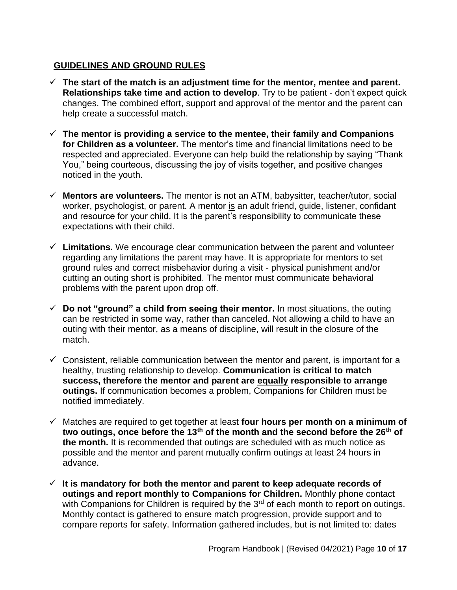# **GUIDELINES AND GROUND RULES**

- $\checkmark$  The start of the match is an adjustment time for the mentor, mentee and parent. **Relationships take time and action to develop**. Try to be patient - don't expect quick changes. The combined effort, support and approval of the mentor and the parent can help create a successful match.
- ✓ **The mentor is providing a service to the mentee, their family and Companions for Children as a volunteer.** The mentor's time and financial limitations need to be respected and appreciated. Everyone can help build the relationship by saying "Thank You," being courteous, discussing the joy of visits together, and positive changes noticed in the youth.
- $\checkmark$  **Mentors are volunteers.** The mentor is not an ATM, babysitter, teacher/tutor, social worker, psychologist, or parent. A mentor is an adult friend, guide, listener, confidant and resource for your child. It is the parent's responsibility to communicate these expectations with their child.
- $\checkmark$  Limitations. We encourage clear communication between the parent and volunteer regarding any limitations the parent may have. It is appropriate for mentors to set ground rules and correct misbehavior during a visit - physical punishment and/or cutting an outing short is prohibited. The mentor must communicate behavioral problems with the parent upon drop off.
- $\checkmark$  Do not "ground" a child from seeing their mentor. In most situations, the outing can be restricted in some way, rather than canceled. Not allowing a child to have an outing with their mentor, as a means of discipline, will result in the closure of the match.
- $\checkmark$  Consistent, reliable communication between the mentor and parent, is important for a healthy, trusting relationship to develop. **Communication is critical to match success, therefore the mentor and parent are equally responsible to arrange outings.** If communication becomes a problem, Companions for Children must be notified immediately.
- ✓ Matches are required to get together at least **four hours per month on a minimum of two outings, once before the 13th of the month and the second before the 26th of the month.** It is recommended that outings are scheduled with as much notice as possible and the mentor and parent mutually confirm outings at least 24 hours in advance.
- ✓ **It is mandatory for both the mentor and parent to keep adequate records of outings and report monthly to Companions for Children.** Monthly phone contact with Companions for Children is required by the  $3<sup>rd</sup>$  of each month to report on outings. Monthly contact is gathered to ensure match progression, provide support and to compare reports for safety. Information gathered includes, but is not limited to: dates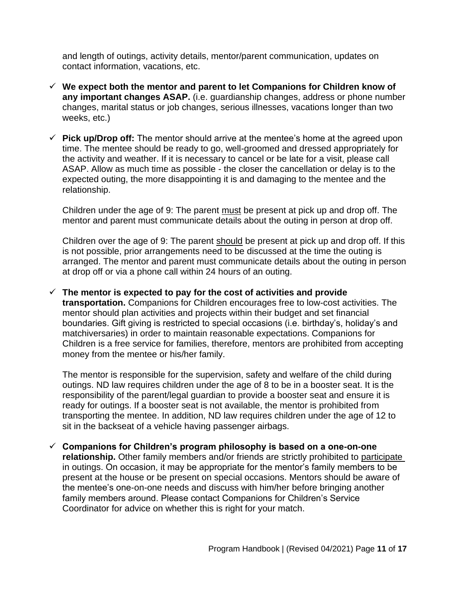and length of outings, activity details, mentor/parent communication, updates on contact information, vacations, etc.

- ✓ **We expect both the mentor and parent to let Companions for Children know of any important changes ASAP.** (i.e. guardianship changes, address or phone number changes, marital status or job changes, serious illnesses, vacations longer than two weeks, etc.)
- $\checkmark$  Pick up/Drop off: The mentor should arrive at the mentee's home at the agreed upon time. The mentee should be ready to go, well-groomed and dressed appropriately for the activity and weather. If it is necessary to cancel or be late for a visit, please call ASAP. Allow as much time as possible - the closer the cancellation or delay is to the expected outing, the more disappointing it is and damaging to the mentee and the relationship.

Children under the age of 9: The parent must be present at pick up and drop off. The mentor and parent must communicate details about the outing in person at drop off.

Children over the age of 9: The parent should be present at pick up and drop off. If this is not possible, prior arrangements need to be discussed at the time the outing is arranged. The mentor and parent must communicate details about the outing in person at drop off or via a phone call within 24 hours of an outing.

✓ **The mentor is expected to pay for the cost of activities and provide transportation.** Companions for Children encourages free to low-cost activities. The mentor should plan activities and projects within their budget and set financial boundaries. Gift giving is restricted to special occasions (i.e. birthday's, holiday's and matchiversaries) in order to maintain reasonable expectations. Companions for Children is a free service for families, therefore, mentors are prohibited from accepting money from the mentee or his/her family.

The mentor is responsible for the supervision, safety and welfare of the child during outings. ND law requires children under the age of 8 to be in a booster seat. It is the responsibility of the parent/legal guardian to provide a booster seat and ensure it is ready for outings. If a booster seat is not available, the mentor is prohibited from transporting the mentee. In addition, ND law requires children under the age of 12 to sit in the backseat of a vehicle having passenger airbags.

✓ **Companions for Children's program philosophy is based on a one-on-one relationship.** Other family members and/or friends are strictly prohibited to participate in outings. On occasion, it may be appropriate for the mentor's family members to be present at the house or be present on special occasions. Mentors should be aware of the mentee's one-on-one needs and discuss with him/her before bringing another family members around. Please contact Companions for Children's Service Coordinator for advice on whether this is right for your match.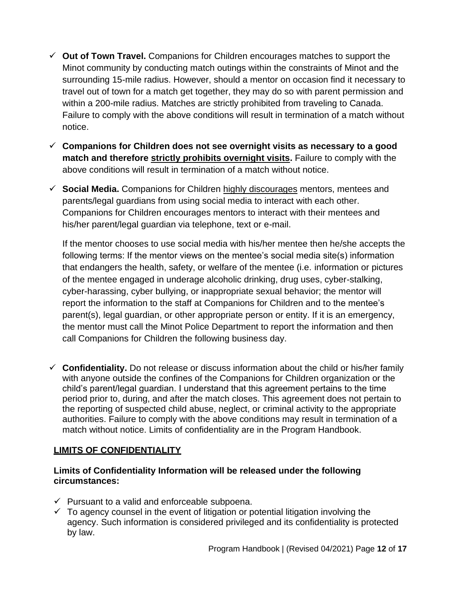- ✓ **Out of Town Travel.** Companions for Children encourages matches to support the Minot community by conducting match outings within the constraints of Minot and the surrounding 15-mile radius. However, should a mentor on occasion find it necessary to travel out of town for a match get together, they may do so with parent permission and within a 200-mile radius. Matches are strictly prohibited from traveling to Canada. Failure to comply with the above conditions will result in termination of a match without notice.
- ✓ **Companions for Children does not see overnight visits as necessary to a good match and therefore strictly prohibits overnight visits.** Failure to comply with the above conditions will result in termination of a match without notice.
- ✓ **Social Media.** Companions for Children highly discourages mentors, mentees and parents/legal guardians from using social media to interact with each other. Companions for Children encourages mentors to interact with their mentees and his/her parent/legal guardian via telephone, text or e-mail.

If the mentor chooses to use social media with his/her mentee then he/she accepts the following terms: If the mentor views on the mentee's social media site(s) information that endangers the health, safety, or welfare of the mentee (i.e. information or pictures of the mentee engaged in underage alcoholic drinking, drug uses, cyber-stalking, cyber-harassing, cyber bullying, or inappropriate sexual behavior; the mentor will report the information to the staff at Companions for Children and to the mentee's parent(s), legal guardian, or other appropriate person or entity. If it is an emergency, the mentor must call the Minot Police Department to report the information and then call Companions for Children the following business day.

✓ **Confidentiality.** Do not release or discuss information about the child or his/her family with anyone outside the confines of the Companions for Children organization or the child's parent/legal guardian. I understand that this agreement pertains to the time period prior to, during, and after the match closes. This agreement does not pertain to the reporting of suspected child abuse, neglect, or criminal activity to the appropriate authorities. Failure to comply with the above conditions may result in termination of a match without notice. Limits of confidentiality are in the Program Handbook.

# **LIMITS OF CONFIDENTIALITY**

# **Limits of Confidentiality Information will be released under the following circumstances:**

- $\checkmark$  Pursuant to a valid and enforceable subpoena.
- $\checkmark$  To agency counsel in the event of litigation or potential litigation involving the agency. Such information is considered privileged and its confidentiality is protected by law.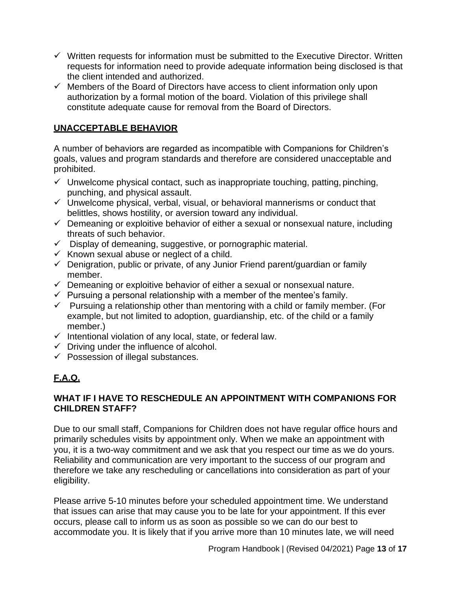- $\checkmark$  Written requests for information must be submitted to the Executive Director. Written requests for information need to provide adequate information being disclosed is that the client intended and authorized.
- $\checkmark$  Members of the Board of Directors have access to client information only upon authorization by a formal motion of the board. Violation of this privilege shall constitute adequate cause for removal from the Board of Directors.

# **UNACCEPTABLE BEHAVIOR**

A number of behaviors are regarded as incompatible with Companions for Children's goals, values and program standards and therefore are considered unacceptable and prohibited.

- $\checkmark$  Unwelcome physical contact, such as inappropriate touching, patting, pinching, punching, and physical assault.
- $\checkmark$  Unwelcome physical, verbal, visual, or behavioral mannerisms or conduct that belittles, shows hostility, or aversion toward any individual.
- $\checkmark$  Demeaning or exploitive behavior of either a sexual or nonsexual nature, including threats of such behavior.
- ✓ Display of demeaning, suggestive, or pornographic material.
- $\checkmark$  Known sexual abuse or neglect of a child.
- $\checkmark$  Denigration, public or private, of any Junior Friend parent/guardian or family member.
- $\checkmark$  Demeaning or exploitive behavior of either a sexual or nonsexual nature.
- $\checkmark$  Pursuing a personal relationship with a member of the mentee's family.
- $\checkmark$  Pursuing a relationship other than mentoring with a child or family member. (For example, but not limited to adoption, guardianship, etc. of the child or a family member.)
- $\checkmark$  Intentional violation of any local, state, or federal law.
- $\checkmark$  Driving under the influence of alcohol.
- $\checkmark$  Possession of illegal substances.

# **F.A.Q.**

#### **WHAT IF I HAVE TO RESCHEDULE AN APPOINTMENT WITH COMPANIONS FOR CHILDREN STAFF?**

Due to our small staff, Companions for Children does not have regular office hours and primarily schedules visits by appointment only. When we make an appointment with you, it is a two-way commitment and we ask that you respect our time as we do yours. Reliability and communication are very important to the success of our program and therefore we take any rescheduling or cancellations into consideration as part of your eligibility.

Please arrive 5-10 minutes before your scheduled appointment time. We understand that issues can arise that may cause you to be late for your appointment. If this ever occurs, please call to inform us as soon as possible so we can do our best to accommodate you. It is likely that if you arrive more than 10 minutes late, we will need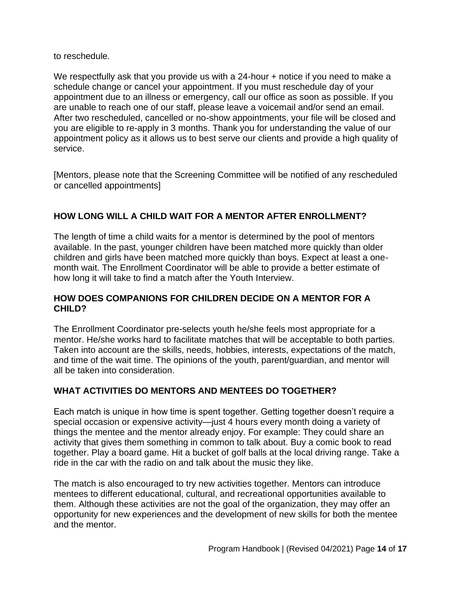to reschedule.

We respectfully ask that you provide us with a 24-hour + notice if you need to make a schedule change or cancel your appointment. If you must reschedule day of your appointment due to an illness or emergency, call our office as soon as possible. If you are unable to reach one of our staff, please leave a voicemail and/or send an email. After two rescheduled, cancelled or no-show appointments, your file will be closed and you are eligible to re-apply in 3 months. Thank you for understanding the value of our appointment policy as it allows us to best serve our clients and provide a high quality of service.

[Mentors, please note that the Screening Committee will be notified of any rescheduled or cancelled appointments]

# **HOW LONG WILL A CHILD WAIT FOR A MENTOR AFTER ENROLLMENT?**

The length of time a child waits for a mentor is determined by the pool of mentors available. In the past, younger children have been matched more quickly than older children and girls have been matched more quickly than boys. Expect at least a onemonth wait. The Enrollment Coordinator will be able to provide a better estimate of how long it will take to find a match after the Youth Interview.

#### **HOW DOES COMPANIONS FOR CHILDREN DECIDE ON A MENTOR FOR A CHILD?**

The Enrollment Coordinator pre-selects youth he/she feels most appropriate for a mentor. He/she works hard to facilitate matches that will be acceptable to both parties. Taken into account are the skills, needs, hobbies, interests, expectations of the match, and time of the wait time. The opinions of the youth, parent/guardian, and mentor will all be taken into consideration.

# **WHAT ACTIVITIES DO MENTORS AND MENTEES DO TOGETHER?**

Each match is unique in how time is spent together. Getting together doesn't require a special occasion or expensive activity—just 4 hours every month doing a variety of things the mentee and the mentor already enjoy. For example: They could share an activity that gives them something in common to talk about. Buy a comic book to read together. Play a board game. Hit a bucket of golf balls at the local driving range. Take a ride in the car with the radio on and talk about the music they like.

The match is also encouraged to try new activities together. Mentors can introduce mentees to different educational, cultural, and recreational opportunities available to them. Although these activities are not the goal of the organization, they may offer an opportunity for new experiences and the development of new skills for both the mentee and the mentor.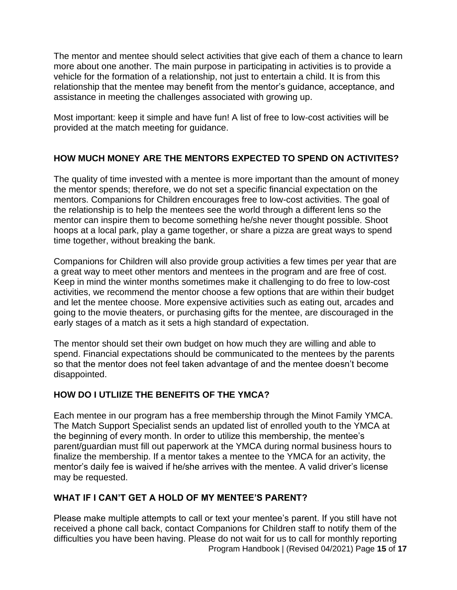The mentor and mentee should select activities that give each of them a chance to learn more about one another. The main purpose in participating in activities is to provide a vehicle for the formation of a relationship, not just to entertain a child. It is from this relationship that the mentee may benefit from the mentor's guidance, acceptance, and assistance in meeting the challenges associated with growing up.

Most important: keep it simple and have fun! A list of free to low-cost activities will be provided at the match meeting for guidance.

# **HOW MUCH MONEY ARE THE MENTORS EXPECTED TO SPEND ON ACTIVITES?**

The quality of time invested with a mentee is more important than the amount of money the mentor spends; therefore, we do not set a specific financial expectation on the mentors. Companions for Children encourages free to low-cost activities. The goal of the relationship is to help the mentees see the world through a different lens so the mentor can inspire them to become something he/she never thought possible. Shoot hoops at a local park, play a game together, or share a pizza are great ways to spend time together, without breaking the bank.

Companions for Children will also provide group activities a few times per year that are a great way to meet other mentors and mentees in the program and are free of cost. Keep in mind the winter months sometimes make it challenging to do free to low-cost activities, we recommend the mentor choose a few options that are within their budget and let the mentee choose. More expensive activities such as eating out, arcades and going to the movie theaters, or purchasing gifts for the mentee, are discouraged in the early stages of a match as it sets a high standard of expectation.

The mentor should set their own budget on how much they are willing and able to spend. Financial expectations should be communicated to the mentees by the parents so that the mentor does not feel taken advantage of and the mentee doesn't become disappointed.

# **HOW DO I UTLIIZE THE BENEFITS OF THE YMCA?**

Each mentee in our program has a free membership through the Minot Family YMCA. The Match Support Specialist sends an updated list of enrolled youth to the YMCA at the beginning of every month. In order to utilize this membership, the mentee's parent/guardian must fill out paperwork at the YMCA during normal business hours to finalize the membership. If a mentor takes a mentee to the YMCA for an activity, the mentor's daily fee is waived if he/she arrives with the mentee. A valid driver's license may be requested.

# **WHAT IF I CAN'T GET A HOLD OF MY MENTEE'S PARENT?**

Program Handbook | (Revised 04/2021) Page **15** of **17** Please make multiple attempts to call or text your mentee's parent. If you still have not received a phone call back, contact Companions for Children staff to notify them of the difficulties you have been having. Please do not wait for us to call for monthly reporting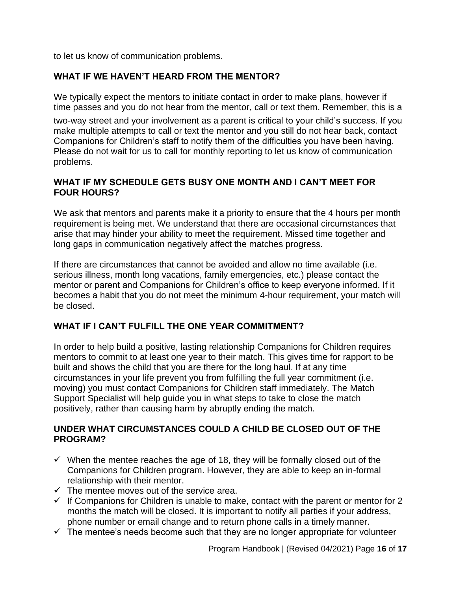to let us know of communication problems.

# **WHAT IF WE HAVEN'T HEARD FROM THE MENTOR?**

We typically expect the mentors to initiate contact in order to make plans, however if time passes and you do not hear from the mentor, call or text them. Remember, this is a

two-way street and your involvement as a parent is critical to your child's success. If you make multiple attempts to call or text the mentor and you still do not hear back, contact Companions for Children's staff to notify them of the difficulties you have been having. Please do not wait for us to call for monthly reporting to let us know of communication problems.

# **WHAT IF MY SCHEDULE GETS BUSY ONE MONTH AND I CAN'T MEET FOR FOUR HOURS?**

We ask that mentors and parents make it a priority to ensure that the 4 hours per month requirement is being met. We understand that there are occasional circumstances that arise that may hinder your ability to meet the requirement. Missed time together and long gaps in communication negatively affect the matches progress.

If there are circumstances that cannot be avoided and allow no time available (i.e. serious illness, month long vacations, family emergencies, etc.) please contact the mentor or parent and Companions for Children's office to keep everyone informed. If it becomes a habit that you do not meet the minimum 4-hour requirement, your match will be closed.

# **WHAT IF I CAN'T FULFILL THE ONE YEAR COMMITMENT?**

In order to help build a positive, lasting relationship Companions for Children requires mentors to commit to at least one year to their match. This gives time for rapport to be built and shows the child that you are there for the long haul. If at any time circumstances in your life prevent you from fulfilling the full year commitment (i.e. moving) you must contact Companions for Children staff immediately. The Match Support Specialist will help guide you in what steps to take to close the match positively, rather than causing harm by abruptly ending the match.

# **UNDER WHAT CIRCUMSTANCES COULD A CHILD BE CLOSED OUT OF THE PROGRAM?**

- $\checkmark$  When the mentee reaches the age of 18, they will be formally closed out of the Companions for Children program. However, they are able to keep an in-formal relationship with their mentor.
- $\checkmark$  The mentee moves out of the service area.
- $\checkmark$  If Companions for Children is unable to make, contact with the parent or mentor for 2 months the match will be closed. It is important to notify all parties if your address, phone number or email change and to return phone calls in a timely manner.
- $\checkmark$  The mentee's needs become such that they are no longer appropriate for volunteer